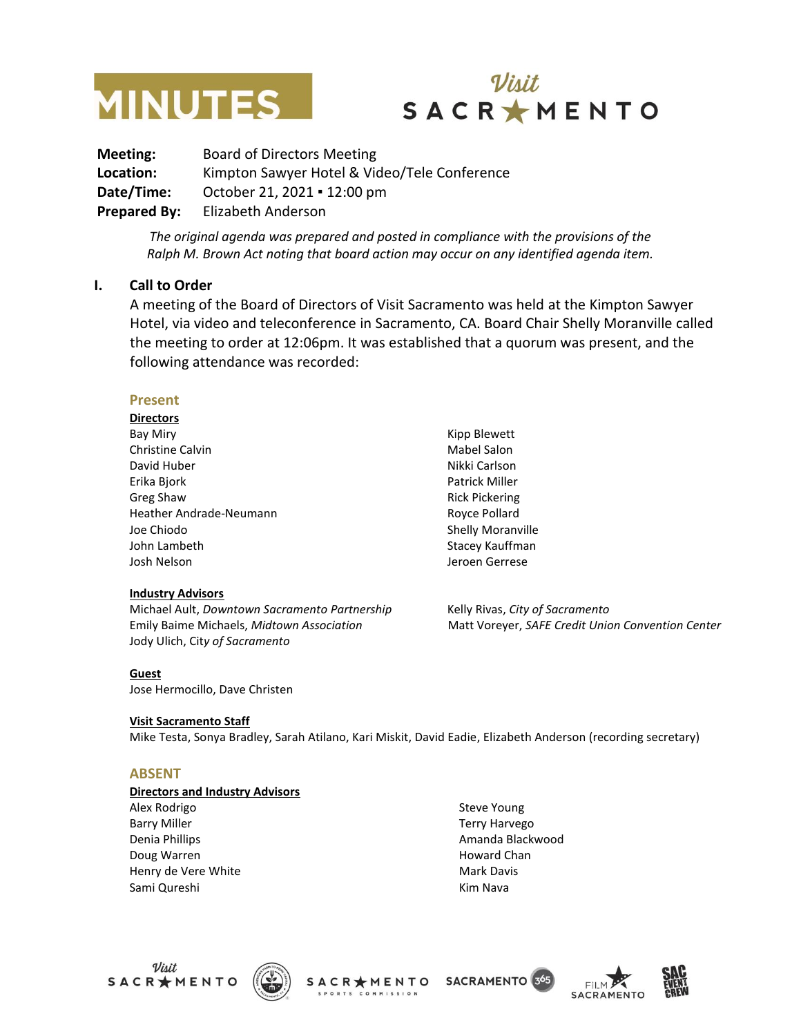



**Meeting:** Board of Directors Meeting **Location:** Kimpton Sawyer Hotel & Video/Tele Conference **Date/Time:** October 21, 2021 ▪ 12:00 pm **Prepared By:** Elizabeth Anderson

> *The original agenda was prepared and posted in compliance with the provisions of the Ralph M. Brown Act noting that board action may occur on any identified agenda item.*

#### **I. Call to Order**

A meeting of the Board of Directors of Visit Sacramento was held at the Kimpton Sawyer Hotel, via video and teleconference in Sacramento, CA. Board Chair Shelly Moranville called the meeting to order at 12:06pm. It was established that a quorum was present, and the following attendance was recorded:

#### **Present**

**Directors** Bay Miry Christine Calvin David Huber Erika Bjork Greg Shaw Heather Andrade-Neumann Joe Chiodo John Lambeth Josh Nelson

#### **Industry Advisors**

Michael Ault, *Downtown Sacramento Partnership* Emily Baime Michaels, *Midtown Association* Jody Ulich, Cit*y of Sacramento*

Kipp Blewett Mabel Salon Nikki Carlson Patrick Miller Rick Pickering Royce Pollard Shelly Moranville Stacey Kauffman Jeroen Gerrese

Kelly Rivas, *City of Sacramento* Matt Voreyer, *SAFE Credit Union Convention Center*

#### **Guest**

Jose Hermocillo, Dave Christen

#### **Visit Sacramento Staff**

Mike Testa, Sonya Bradley, Sarah Atilano, Kari Miskit, David Eadie, Elizabeth Anderson (recording secretary)

#### **ABSENT**

#### **Directors and Industry Advisors**

Alex Rodrigo Barry Miller Denia Phillips Doug Warren Henry de Vere White Sami Qureshi

Steve Young Terry Harvego Amanda Blackwood Howard Chan Mark Davis Kim Nava





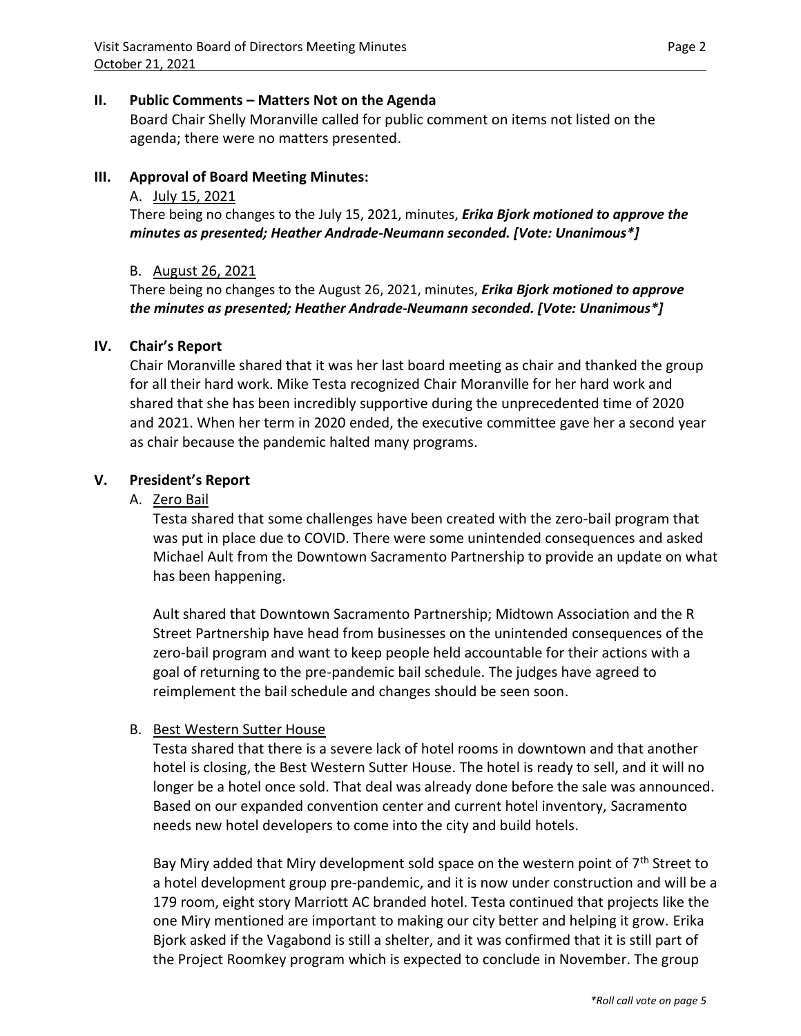Board Chair Shelly Moranville called for public comment on items not listed on the agenda; there were no matters presented.

# **III. Approval of Board Meeting Minutes:**

## A. July 15, 2021

There being no changes to the July 15, 2021, minutes, *Erika Bjork motioned to approve the minutes as presented; Heather Andrade-Neumann seconded. [Vote: Unanimous\*]*

## B. August 26, 2021

There being no changes to the August 26, 2021, minutes, *Erika Bjork motioned to approve the minutes as presented; Heather Andrade-Neumann seconded. [Vote: Unanimous\*]*

## **IV. Chair's Report**

Chair Moranville shared that it was her last board meeting as chair and thanked the group for all their hard work. Mike Testa recognized Chair Moranville for her hard work and shared that she has been incredibly supportive during the unprecedented time of 2020 and 2021. When her term in 2020 ended, the executive committee gave her a second year as chair because the pandemic halted many programs.

## **V. President's Report**

## A. Zero Bail

Testa shared that some challenges have been created with the zero-bail program that was put in place due to COVID. There were some unintended consequences and asked Michael Ault from the Downtown Sacramento Partnership to provide an update on what has been happening.

Ault shared that Downtown Sacramento Partnership; Midtown Association and the R Street Partnership have head from businesses on the unintended consequences of the zero-bail program and want to keep people held accountable for their actions with a goal of returning to the pre-pandemic bail schedule. The judges have agreed to reimplement the bail schedule and changes should be seen soon.

# B. Best Western Sutter House

Testa shared that there is a severe lack of hotel rooms in downtown and that another hotel is closing, the Best Western Sutter House. The hotel is ready to sell, and it will no longer be a hotel once sold. That deal was already done before the sale was announced. Based on our expanded convention center and current hotel inventory, Sacramento needs new hotel developers to come into the city and build hotels.

Bay Miry added that Miry development sold space on the western point of  $7<sup>th</sup>$  Street to a hotel development group pre-pandemic, and it is now under construction and will be a 179 room, eight story Marriott AC branded hotel. Testa continued that projects like the one Miry mentioned are important to making our city better and helping it grow. Erika Bjork asked if the Vagabond is still a shelter, and it was confirmed that it is still part of the Project Roomkey program which is expected to conclude in November. The group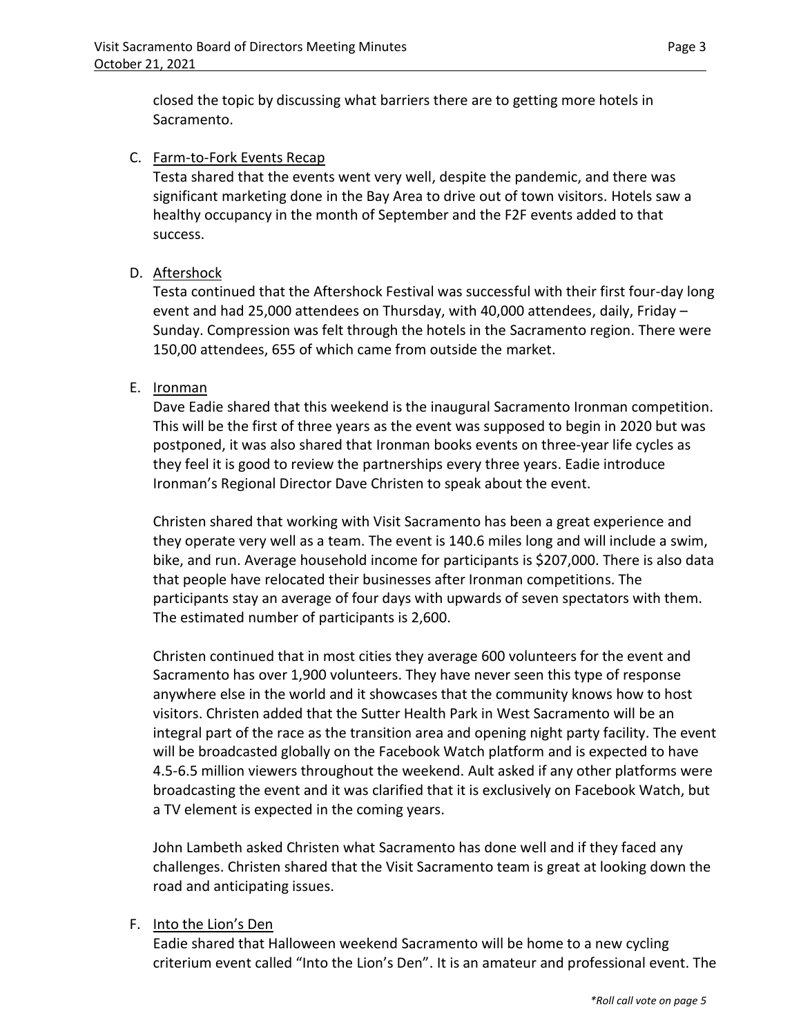closed the topic by discussing what barriers there are to getting more hotels in Sacramento.

C. Farm-to-Fork Events Recap

Testa shared that the events went very well, despite the pandemic, and there was significant marketing done in the Bay Area to drive out of town visitors. Hotels saw a healthy occupancy in the month of September and the F2F events added to that success.

D. Aftershock

Testa continued that the Aftershock Festival was successful with their first four-day long event and had 25,000 attendees on Thursday, with 40,000 attendees, daily, Friday – Sunday. Compression was felt through the hotels in the Sacramento region. There were 150,00 attendees, 655 of which came from outside the market.

E. Ironman

Dave Eadie shared that this weekend is the inaugural Sacramento Ironman competition. This will be the first of three years as the event was supposed to begin in 2020 but was postponed, it was also shared that Ironman books events on three-year life cycles as they feel it is good to review the partnerships every three years. Eadie introduce Ironman's Regional Director Dave Christen to speak about the event.

Christen shared that working with Visit Sacramento has been a great experience and they operate very well as a team. The event is 140.6 miles long and will include a swim, bike, and run. Average household income for participants is \$207,000. There is also data that people have relocated their businesses after Ironman competitions. The participants stay an average of four days with upwards of seven spectators with them. The estimated number of participants is 2,600.

Christen continued that in most cities they average 600 volunteers for the event and Sacramento has over 1,900 volunteers. They have never seen this type of response anywhere else in the world and it showcases that the community knows how to host visitors. Christen added that the Sutter Health Park in West Sacramento will be an integral part of the race as the transition area and opening night party facility. The event will be broadcasted globally on the Facebook Watch platform and is expected to have 4.5-6.5 million viewers throughout the weekend. Ault asked if any other platforms were broadcasting the event and it was clarified that it is exclusively on Facebook Watch, but a TV element is expected in the coming years.

John Lambeth asked Christen what Sacramento has done well and if they faced any challenges. Christen shared that the Visit Sacramento team is great at looking down the road and anticipating issues.

# F. Into the Lion's Den

Eadie shared that Halloween weekend Sacramento will be home to a new cycling criterium event called "Into the Lion's Den". It is an amateur and professional event. The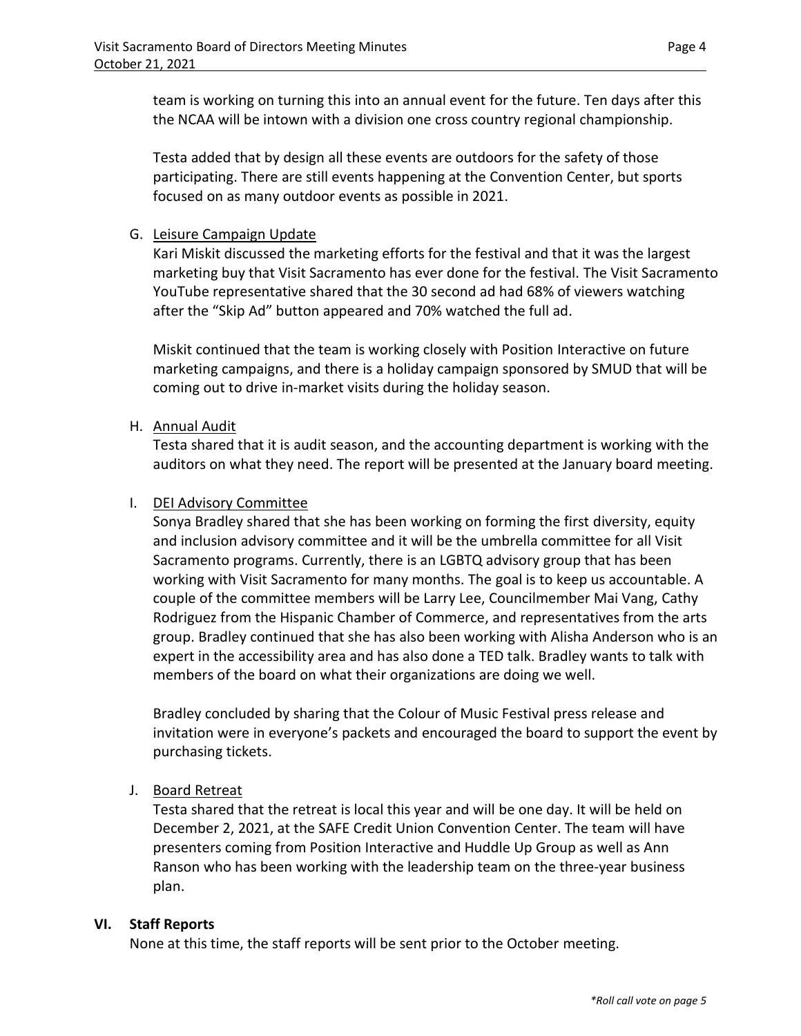team is working on turning this into an annual event for the future. Ten days after this the NCAA will be intown with a division one cross country regional championship.

Testa added that by design all these events are outdoors for the safety of those participating. There are still events happening at the Convention Center, but sports focused on as many outdoor events as possible in 2021.

# G. Leisure Campaign Update

Kari Miskit discussed the marketing efforts for the festival and that it was the largest marketing buy that Visit Sacramento has ever done for the festival. The Visit Sacramento YouTube representative shared that the 30 second ad had 68% of viewers watching after the "Skip Ad" button appeared and 70% watched the full ad.

Miskit continued that the team is working closely with Position Interactive on future marketing campaigns, and there is a holiday campaign sponsored by SMUD that will be coming out to drive in-market visits during the holiday season.

H. Annual Audit

Testa shared that it is audit season, and the accounting department is working with the auditors on what they need. The report will be presented at the January board meeting.

## I. DEI Advisory Committee

Sonya Bradley shared that she has been working on forming the first diversity, equity and inclusion advisory committee and it will be the umbrella committee for all Visit Sacramento programs. Currently, there is an LGBTQ advisory group that has been working with Visit Sacramento for many months. The goal is to keep us accountable. A couple of the committee members will be Larry Lee, Councilmember Mai Vang, Cathy Rodriguez from the Hispanic Chamber of Commerce, and representatives from the arts group. Bradley continued that she has also been working with Alisha Anderson who is an expert in the accessibility area and has also done a TED talk. Bradley wants to talk with members of the board on what their organizations are doing we well.

Bradley concluded by sharing that the Colour of Music Festival press release and invitation were in everyone's packets and encouraged the board to support the event by purchasing tickets.

# J. Board Retreat

Testa shared that the retreat is local this year and will be one day. It will be held on December 2, 2021, at the SAFE Credit Union Convention Center. The team will have presenters coming from Position Interactive and Huddle Up Group as well as Ann Ranson who has been working with the leadership team on the three-year business plan.

## **VI. Staff Reports**

None at this time, the staff reports will be sent prior to the October meeting.